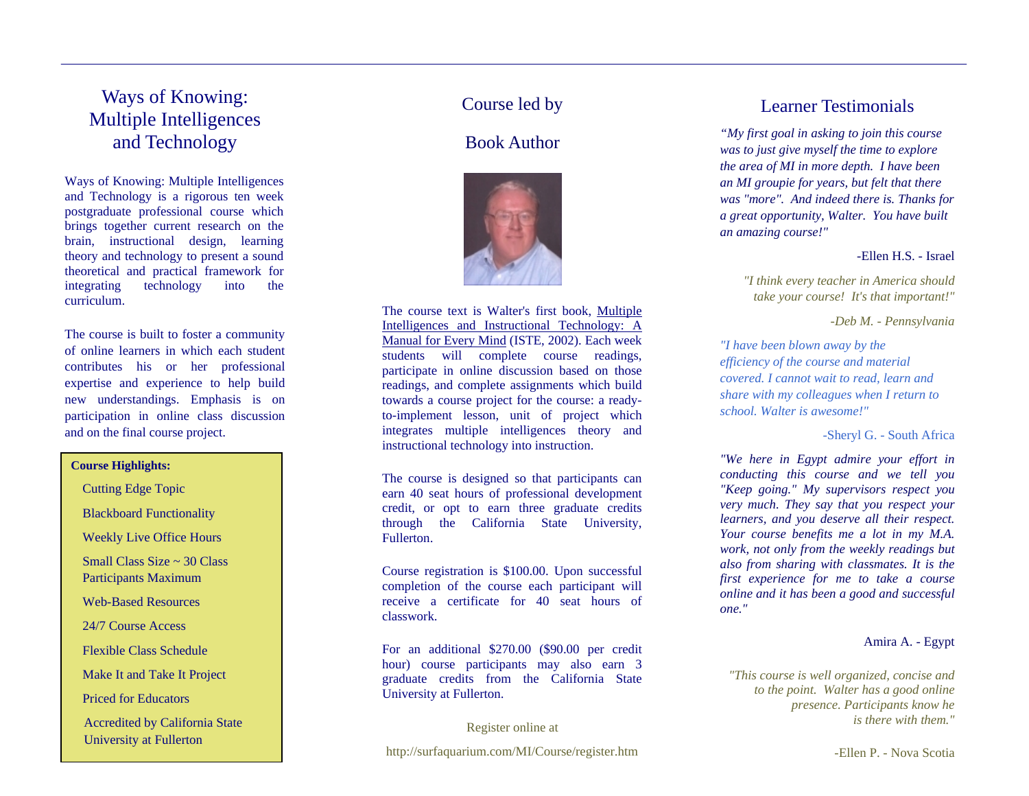## Ways of Knowing: Multiple Intelligenc es and Technology

Ways of Knowing: Multiple Intelligences and Tec hnology is a rigorous ten week postgraduate professional course which brings toget her current research on thebrain, i nstructional design, learni ng theor y and technolog y to present a sound theoretical and practical fra mework for integrating technology into the curriculum.

The course is b uilt to foster a commu nity of online learners in which each stude nt contributes his or her professional expertise a nd experie nce to help build new u n derstandings. Emphasis is o n participation i n online class discussion and on the final course project.

#### **Course Highlights:**

Cutting E dge Topic

Blackboard Functio nality

Weekly Live Office Hours

Small Class Size  $\sim$  30 Class Participants Maxim um

Web-Based Resources

24/7 Course Access

Flexible Class Schedule

Make It and Take It Project

Priced for Educators

Accre dited by California State University at Fullerton

## Course led by

## Book Author



The course text is Walter's first book, Multiple Intelligences an d Instructional Technology: A Manual for Every Mind (IST E, 2002). Each week students will complete course readings, participate i n online discussion based on thosereadings, and co mplete assig n ments which b uild towards a course project for the course: a readyto-i mplement lesson, unit of project which integrates m ultiple intelligences theory and instructional technolog y into i nstruction.

The course is designed so that participants can earn40 seat hours of professio nal development credit, or opt to earn three graduate credits through the California State University, Fullerton.

Course registration is \$10 0.00. Upon successful co mpletio n of the course each participant will receive a certificate for 40 seat hours of classwork.

For an additional \$270.00 (\$90.00 per credit hour) course participants may also earn 3 graduate credits fro m the California State University at Fullerton.

Register online at

http://surfaquariu m.com/MI/ Course/register.htm

#### Learner Testimonials

*"My first goal in asking to join this course was to just give myself the time to explore the area of MI in more depth. I have been a n MI groupie for years, but felt th at there was "more". And indeed there is. Tha nks for a great opportunity, Walter. You h ave built an a mazi ng course!"*

#### -Ellen H.S. - Israel

*"I thi nk every teacher in America s hould take your course! It's that i mportant!"*

*-Deb M. - Pennsylvania*

*"I have bee n blow n away by the efficiency of the course and material covered. I cannot wait to read, learn and share with my collea gues when I return to school. Walter is awesome!"* 

-Sheryl G. - South Africa

*"We here in Egypt admire your effort in conducting this course and we tell you "Keep going." My supervisors respect you very muc h. They say that you respect your learners, and you deserve all their respect. Your course benefits me a lot in my M.A. work, not only from the weekly readings but also from sharing with cl assmates. It is the first experience for me to take a course online a n d it has been a good a n d successful one."*

#### Amira A. - Egy pt

 *"This course is well organized, concise and to the point. Walter has a good online prese nce. Participants know he is there with them."*

-Ellen P. - Nova Scotia